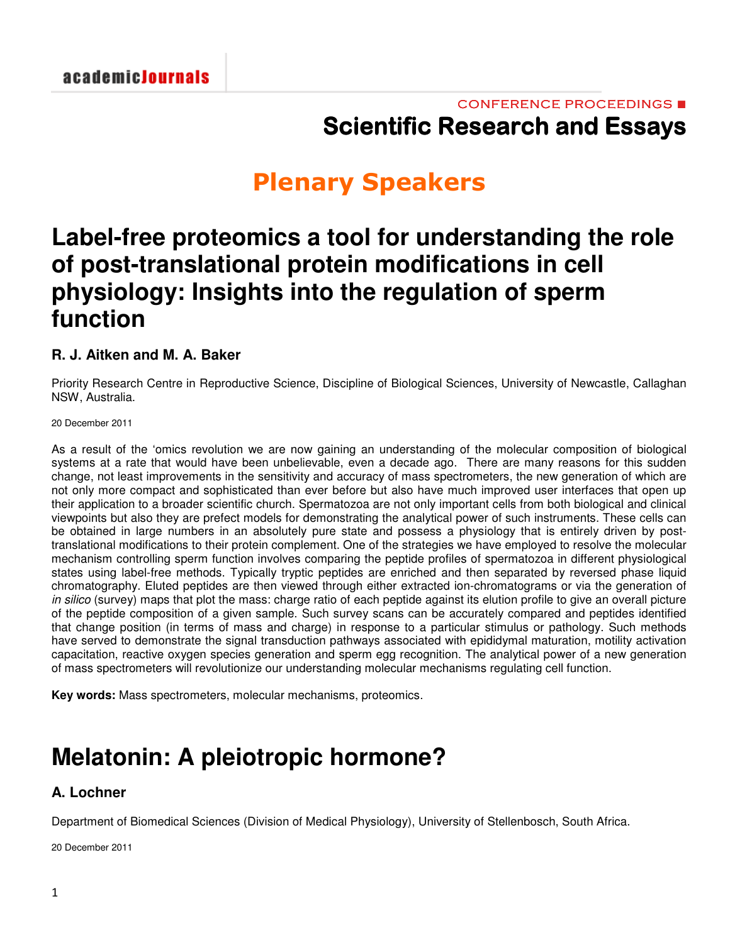## CONFERENCE PROCEEDINGS ■ **Scientific Research and Essays**

# **Plenary Speakers**

## **Label-free proteomics a tool for understanding the role of post-translational protein modifications in cell physiology: Insights into the regulation of sperm function**

### **R. J. Aitken and M. A. Baker**

Priority Research Centre in Reproductive Science, Discipline of Biological Sciences, University of Newcastle, Callaghan NSW, Australia.

20 December 2011

As a result of the 'omics revolution we are now gaining an understanding of the molecular composition of biological systems at a rate that would have been unbelievable, even a decade ago. There are many reasons for this sudden change, not least improvements in the sensitivity and accuracy of mass spectrometers, the new generation of which are not only more compact and sophisticated than ever before but also have much improved user interfaces that open up their application to a broader scientific church. Spermatozoa are not only important cells from both biological and clinical viewpoints but also they are prefect models for demonstrating the analytical power of such instruments. These cells can be obtained in large numbers in an absolutely pure state and possess a physiology that is entirely driven by posttranslational modifications to their protein complement. One of the strategies we have employed to resolve the molecular mechanism controlling sperm function involves comparing the peptide profiles of spermatozoa in different physiological states using label-free methods. Typically tryptic peptides are enriched and then separated by reversed phase liquid chromatography. Eluted peptides are then viewed through either extracted ion-chromatograms or via the generation of *in silico* (survey) maps that plot the mass: charge ratio of each peptide against its elution profile to give an overall picture of the peptide composition of a given sample. Such survey scans can be accurately compared and peptides identified that change position (in terms of mass and charge) in response to a particular stimulus or pathology. Such methods have served to demonstrate the signal transduction pathways associated with epididymal maturation, motility activation capacitation, reactive oxygen species generation and sperm egg recognition. The analytical power of a new generation of mass spectrometers will revolutionize our understanding molecular mechanisms regulating cell function.

**Key words:** Mass spectrometers, molecular mechanisms, proteomics.

## **Melatonin: A pleiotropic hormone?**

### **A. Lochner**

Department of Biomedical Sciences (Division of Medical Physiology), University of Stellenbosch, South Africa.

20 December 2011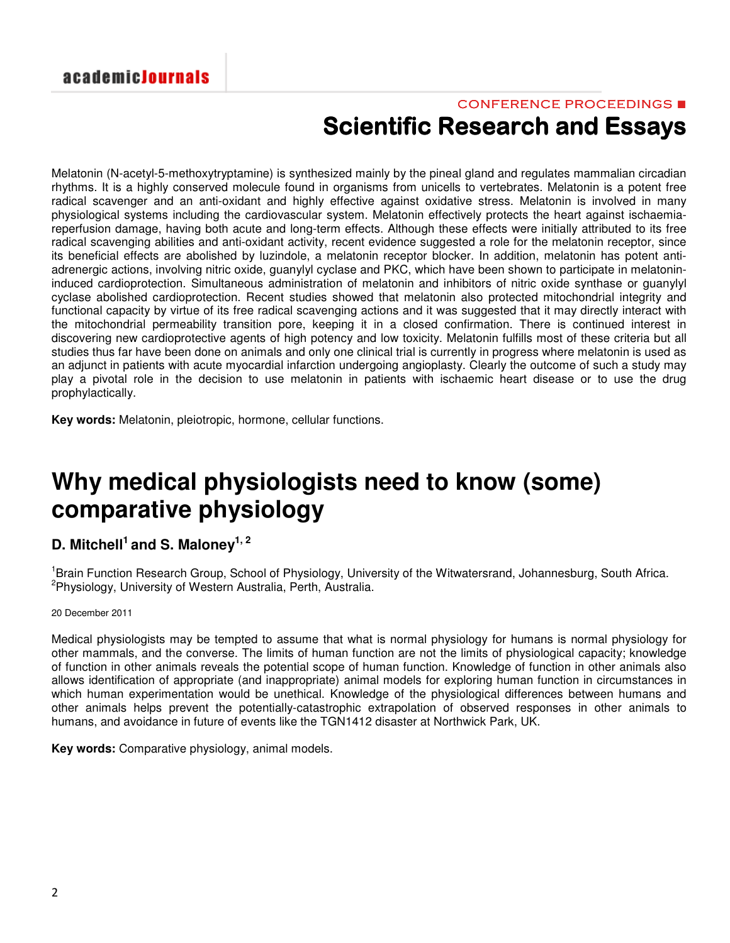## CONFERENCE PROCEEDINGS ■ **Scientific Research and Essays**

Melatonin (N-acetyl-5-methoxytryptamine) is synthesized mainly by the pineal gland and regulates mammalian circadian rhythms. It is a highly conserved molecule found in organisms from unicells to vertebrates. Melatonin is a potent free radical scavenger and an anti-oxidant and highly effective against oxidative stress. Melatonin is involved in many physiological systems including the cardiovascular system. Melatonin effectively protects the heart against ischaemiareperfusion damage, having both acute and long-term effects. Although these effects were initially attributed to its free radical scavenging abilities and anti-oxidant activity, recent evidence suggested a role for the melatonin receptor, since its beneficial effects are abolished by luzindole, a melatonin receptor blocker. In addition, melatonin has potent antiadrenergic actions, involving nitric oxide, guanylyl cyclase and PKC, which have been shown to participate in melatonininduced cardioprotection. Simultaneous administration of melatonin and inhibitors of nitric oxide synthase or guanylyl cyclase abolished cardioprotection. Recent studies showed that melatonin also protected mitochondrial integrity and functional capacity by virtue of its free radical scavenging actions and it was suggested that it may directly interact with the mitochondrial permeability transition pore, keeping it in a closed confirmation. There is continued interest in discovering new cardioprotective agents of high potency and low toxicity. Melatonin fulfills most of these criteria but all studies thus far have been done on animals and only one clinical trial is currently in progress where melatonin is used as an adjunct in patients with acute myocardial infarction undergoing angioplasty. Clearly the outcome of such a study may play a pivotal role in the decision to use melatonin in patients with ischaemic heart disease or to use the drug prophylactically.

**Key words:** Melatonin, pleiotropic, hormone, cellular functions.

# **Why medical physiologists need to know (some) comparative physiology**

### **D. Mitchell 1 and S. Maloney 1, 2**

<sup>1</sup>Brain Function Research Group, School of Physiology, University of the Witwatersrand, Johannesburg, South Africa. 2 Physiology, University of Western Australia, Perth, Australia.

#### 20 December 2011

Medical physiologists may be tempted to assume that what is normal physiology for humans is normal physiology for other mammals, and the converse. The limits of human function are not the limits of physiological capacity; knowledge of function in other animals reveals the potential scope of human function. Knowledge of function in other animals also allows identification of appropriate (and inappropriate) animal models for exploring human function in circumstances in which human experimentation would be unethical. Knowledge of the physiological differences between humans and other animals helps prevent the potentially-catastrophic extrapolation of observed responses in other animals to humans, and avoidance in future of events like the TGN1412 disaster at Northwick Park, UK.

**Key words:** Comparative physiology, animal models.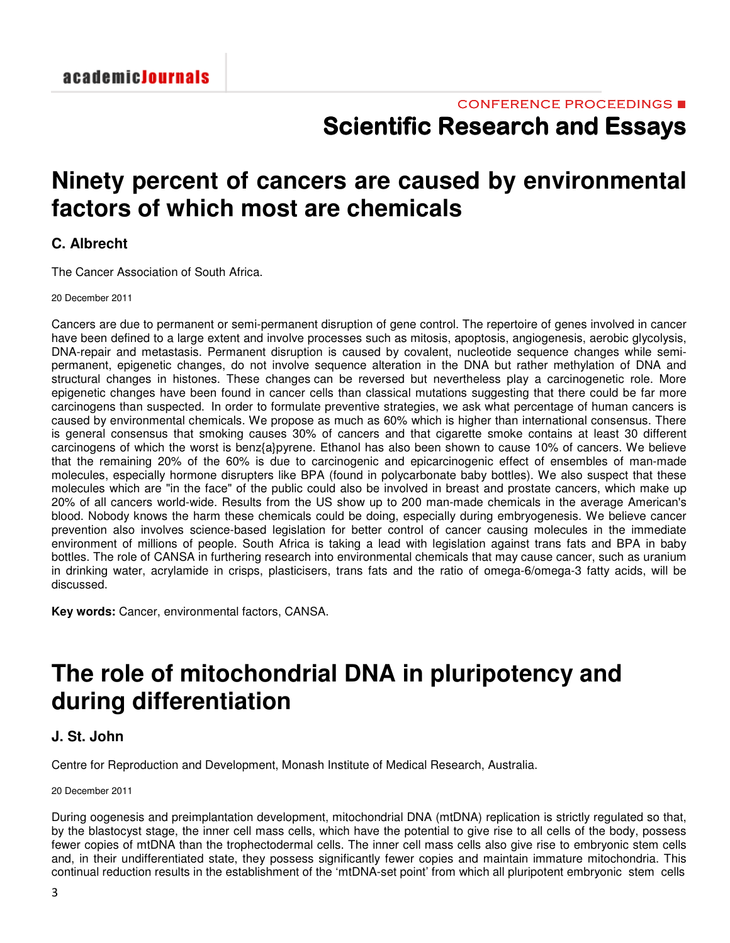## **Ninety percent of cancers are caused by environmental factors of which most are chemicals**

### **C. Albrecht**

The Cancer Association of South Africa.

20 December 2011

Cancers are due to permanent or semi-permanent disruption of gene control. The repertoire of genes involved in cancer have been defined to a large extent and involve processes such as mitosis, apoptosis, angiogenesis, aerobic glycolysis, DNA-repair and metastasis. Permanent disruption is caused by covalent, nucleotide sequence changes while semipermanent, epigenetic changes, do not involve sequence alteration in the DNA but rather methylation of DNA and structural changes in histones. These changes can be reversed but nevertheless play a carcinogenetic role. More epigenetic changes have been found in cancer cells than classical mutations suggesting that there could be far more carcinogens than suspected. In order to formulate preventive strategies, we ask what percentage of human cancers is caused by environmental chemicals. We propose as much as 60% which is higher than international consensus. There is general consensus that smoking causes 30% of cancers and that cigarette smoke contains at least 30 different carcinogens of which the worst is benz{a}pyrene. Ethanol has also been shown to cause 10% of cancers. We believe that the remaining 20% of the 60% is due to carcinogenic and epicarcinogenic effect of ensembles of man-made molecules, especially hormone disrupters like BPA (found in polycarbonate baby bottles). We also suspect that these molecules which are "in the face" of the public could also be involved in breast and prostate cancers, which make up 20% of all cancers world-wide. Results from the US show up to 200 man-made chemicals in the average American's blood. Nobody knows the harm these chemicals could be doing, especially during embryogenesis. We believe cancer prevention also involves science-based legislation for better control of cancer causing molecules in the immediate environment of millions of people. South Africa is taking a lead with legislation against trans fats and BPA in baby bottles. The role of CANSA in furthering research into environmental chemicals that may cause cancer, such as uranium in drinking water, acrylamide in crisps, plasticisers, trans fats and the ratio of omega-6/omega-3 fatty acids, will be discussed.

**Key words:** Cancer, environmental factors, CANSA.

# **The role of mitochondrial DNA in pluripotency and during differentiation**

### **J. St. John**

Centre for Reproduction and Development, Monash Institute of Medical Research, Australia.

20 December 2011

During oogenesis and preimplantation development, mitochondrial DNA (mtDNA) replication is strictly regulated so that, by the blastocyst stage, the inner cell mass cells, which have the potential to give rise to all cells of the body, possess fewer copies of mtDNA than the trophectodermal cells. The inner cell mass cells also give rise to embryonic stem cells and, in their undifferentiated state, they possess significantly fewer copies and maintain immature mitochondria. This continual reduction results in the establishment of the 'mtDNA-set point' from which all pluripotent embryonic stem cells